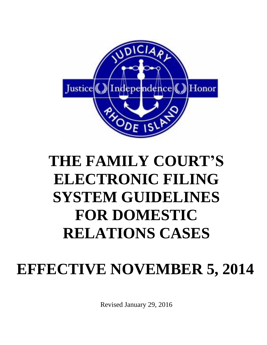

# **THE FAMILY COURT'S ELECTRONIC FILING SYSTEM GUIDELINES FOR DOMESTIC RELATIONS CASES**

## **EFFECTIVE NOVEMBER 5, 2014**

Revised January 29, 2016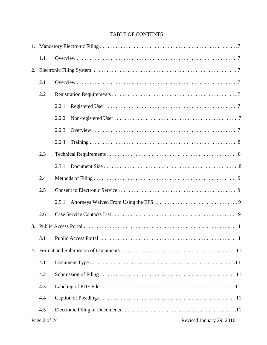## TABLE OF CONTENTS

| 1.1   |       |  |  |  |  |  |
|-------|-------|--|--|--|--|--|
|       |       |  |  |  |  |  |
| 2.1   |       |  |  |  |  |  |
| 2.2   |       |  |  |  |  |  |
|       | 2.2.1 |  |  |  |  |  |
|       | 2.2.2 |  |  |  |  |  |
|       | 2.2.3 |  |  |  |  |  |
|       | 2.2.4 |  |  |  |  |  |
| 2.3   |       |  |  |  |  |  |
| 2.3.1 |       |  |  |  |  |  |
| 2.4   |       |  |  |  |  |  |
| 2.5   |       |  |  |  |  |  |
|       | 2.5.1 |  |  |  |  |  |
| 2.6   |       |  |  |  |  |  |
|       |       |  |  |  |  |  |
|       |       |  |  |  |  |  |
|       |       |  |  |  |  |  |
| 4.1   |       |  |  |  |  |  |
| 4.2   |       |  |  |  |  |  |
| 4.3   |       |  |  |  |  |  |
| 4.4   |       |  |  |  |  |  |
| 4.5   |       |  |  |  |  |  |
|       |       |  |  |  |  |  |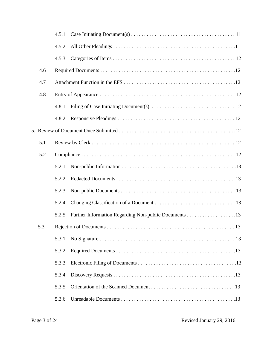|       | 4.5.1 |  |  |  |
|-------|-------|--|--|--|
|       | 4.5.2 |  |  |  |
|       | 4.5.3 |  |  |  |
| 4.6   |       |  |  |  |
| 4.7   |       |  |  |  |
| 4.8   |       |  |  |  |
|       | 4.8.1 |  |  |  |
|       | 4.8.2 |  |  |  |
|       |       |  |  |  |
| 5.1   |       |  |  |  |
| 5.2   |       |  |  |  |
|       | 5.2.1 |  |  |  |
|       | 5.2.2 |  |  |  |
|       | 5.2.3 |  |  |  |
| 5.2.4 |       |  |  |  |
|       | 5.2.5 |  |  |  |
|       |       |  |  |  |
|       | 5.3.1 |  |  |  |
|       | 5.3.2 |  |  |  |
|       | 5.3.3 |  |  |  |
|       | 5.3.4 |  |  |  |
|       | 5.3.5 |  |  |  |
|       | 5.3.6 |  |  |  |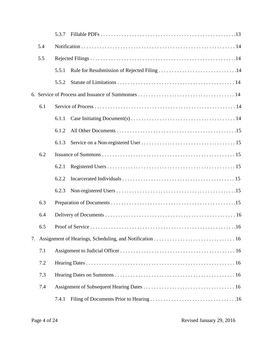|     |     | 5.3.7 |  |  |  |  |
|-----|-----|-------|--|--|--|--|
|     | 5.4 |       |  |  |  |  |
|     | 5.5 |       |  |  |  |  |
|     |     | 5.5.1 |  |  |  |  |
|     |     | 5.5.2 |  |  |  |  |
|     |     |       |  |  |  |  |
|     | 6.1 |       |  |  |  |  |
|     |     | 6.1.1 |  |  |  |  |
|     |     | 6.1.2 |  |  |  |  |
|     |     | 6.1.3 |  |  |  |  |
|     | 6.2 |       |  |  |  |  |
|     |     | 6.2.1 |  |  |  |  |
|     |     | 6.2.2 |  |  |  |  |
|     |     | 6.2.3 |  |  |  |  |
|     | 6.3 |       |  |  |  |  |
|     | 6.4 |       |  |  |  |  |
| 6.5 |     |       |  |  |  |  |
| 7.  |     |       |  |  |  |  |
|     | 7.1 |       |  |  |  |  |
|     | 7.2 |       |  |  |  |  |
|     | 7.3 |       |  |  |  |  |
|     | 7.4 |       |  |  |  |  |
|     |     | 7.4.1 |  |  |  |  |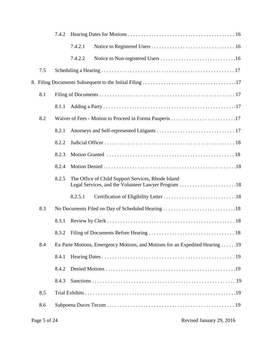|     | 7.4.2                                                                        |         |                                                    |  |  |  |
|-----|------------------------------------------------------------------------------|---------|----------------------------------------------------|--|--|--|
|     |                                                                              | 7.4.2.1 |                                                    |  |  |  |
|     |                                                                              | 7.4.2.2 |                                                    |  |  |  |
| 7.5 |                                                                              |         |                                                    |  |  |  |
|     |                                                                              |         |                                                    |  |  |  |
| 8.1 |                                                                              |         |                                                    |  |  |  |
|     | 8.1.1                                                                        |         |                                                    |  |  |  |
| 8.2 |                                                                              |         |                                                    |  |  |  |
|     | 8.2.1                                                                        |         |                                                    |  |  |  |
|     | 8.2.2                                                                        |         |                                                    |  |  |  |
|     | 8.2.3                                                                        |         |                                                    |  |  |  |
|     | 8.2.4                                                                        |         |                                                    |  |  |  |
|     | 8.2.5                                                                        |         | The Office of Child Support Services, Rhode Island |  |  |  |
|     |                                                                              | 8.2.5.1 |                                                    |  |  |  |
| 8.3 |                                                                              |         | No Documents Filed on Day of Scheduled Hearing 18  |  |  |  |
|     | 8.3.1                                                                        |         |                                                    |  |  |  |
|     | 8.3.2                                                                        |         |                                                    |  |  |  |
| 8.4 | Ex Parte Motions, Emergency Motions, and Motions for an Expedited Hearing 19 |         |                                                    |  |  |  |
|     | 8.4.1                                                                        |         |                                                    |  |  |  |
|     | 8.4.2                                                                        |         |                                                    |  |  |  |
|     | 8.4.3                                                                        |         |                                                    |  |  |  |
| 8.5 |                                                                              |         |                                                    |  |  |  |
| 8.6 |                                                                              |         |                                                    |  |  |  |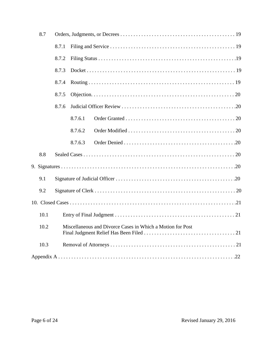| 8.7  |                                                                 |         |  |  |  |  |
|------|-----------------------------------------------------------------|---------|--|--|--|--|
|      | 8.7.1                                                           |         |  |  |  |  |
|      | 8.7.2                                                           |         |  |  |  |  |
|      | 8.7.3                                                           |         |  |  |  |  |
|      | 8.7.4                                                           |         |  |  |  |  |
|      | 8.7.5                                                           |         |  |  |  |  |
|      | 8.7.6                                                           |         |  |  |  |  |
|      |                                                                 | 8.7.6.1 |  |  |  |  |
|      |                                                                 | 8.7.6.2 |  |  |  |  |
|      |                                                                 | 8.7.6.3 |  |  |  |  |
| 8.8  |                                                                 |         |  |  |  |  |
|      |                                                                 |         |  |  |  |  |
| 9.1  |                                                                 |         |  |  |  |  |
| 9.2  |                                                                 |         |  |  |  |  |
|      |                                                                 |         |  |  |  |  |
| 10.1 |                                                                 |         |  |  |  |  |
|      | 10.2 Miscellaneous and Divorce Cases in Which a Motion for Post |         |  |  |  |  |
| 10.3 |                                                                 |         |  |  |  |  |
|      |                                                                 |         |  |  |  |  |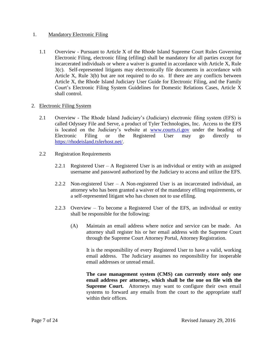## 1. Mandatory Electronic Filing

1.1 Overview - Pursuant to Article X of the Rhode Island Supreme Court Rules Governing Electronic Filing, electronic filing (efiling) shall be mandatory for all parties except for incarcerated individuals or where a waiver is granted in accordance with Article X, Rule 3(c). Self-represented litigants may electronically file documents in accordance with Article X, Rule 3(b) but are not required to do so. If there are any conflicts between Article X, the Rhode Island Judiciary User Guide for Electronic Filing, and the Family Court's Electronic Filing System Guidelines for Domestic Relations Cases, Article X shall control.

### 2. Electronic Filing System

- 2.1 Overview The Rhode Island Judiciary's (Judiciary) electronic filing system (EFS) is called Odyssey File and Serve, a product of Tyler Technologies, Inc. Access to the EFS is located on the Judiciary's website at [www.courts.ri.gov](http://www.courts.ri.gov/) under the heading of Electronic Filing or the Registered User may go directly to [https://rhodeisland.tylerhost.net/.](https://rhodeisland.tylerhost.net/)
- 2.2 Registration Requirements
	- 2.2.1 Registered User A Registered User is an individual or entity with an assigned username and password authorized by the Judiciary to access and utilize the EFS.
	- 2.2.2 Non-registered User A Non-registered User is an incarcerated individual, an attorney who has been granted a waiver of the mandatory efiling requirements, or a self-represented litigant who has chosen not to use efiling.
	- 2.2.3 Overview To become a Registered User of the EFS, an individual or entity shall be responsible for the following:
		- (A) Maintain an email address where notice and service can be made. An attorney shall register his or her email address with the Supreme Court through the Supreme Court Attorney Portal, Attorney Registration.

It is the responsibility of every Registered User to have a valid, working email address. The Judiciary assumes no responsibility for inoperable email addresses or unread email.

**The case management system (CMS) can currently store only one email address per attorney, which shall be the one on file with the Supreme Court.** Attorneys may want to configure their own email systems to forward any emails from the court to the appropriate staff within their offices.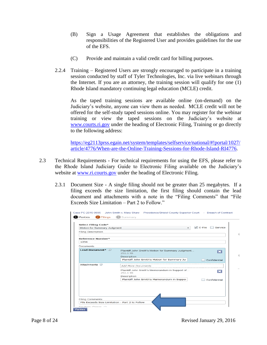- (B) Sign a Usage Agreement that establishes the obligations and responsibilities of the Registered User and provides guidelines for the use of the EFS.
- (C) Provide and maintain a valid credit card for billing purposes.
- 2.2.4 Training Registered Users are strongly encouraged to participate in a training session conducted by staff of Tyler Technologies, Inc. via live webinars through the Internet. If you are an attorney, the training session will qualify for one (1) Rhode Island mandatory continuing legal education (MCLE) credit.

As the taped training sessions are available online (on-demand) on the Judiciary's website, anyone can view them as needed. MCLE credit will not be offered for the self-study taped sessions online. You may register for the webinar training or view the taped sessions on the Judiciary's website at [www.courts.ri.gov](http://www.courts.ri.gov/) under the heading of Electronic Filing, Training or go directly to the following address:

[https://eg2113prss.egain.net/system/templates/selfservice/national/#!portal/1027/](https://eg2113prss.egain.net/system/templates/selfservice/national/#!portal/1027/article/4776/When-are-the-Online-Training-Sessions-for-Rhode-Island-RI4776) [article/4776/When-are-the-Online-Training-Sessions-for-Rhode-Island-RI4776.](https://eg2113prss.egain.net/system/templates/selfservice/national/#!portal/1027/article/4776/When-are-the-Online-Training-Sessions-for-Rhode-Island-RI4776)

- 2.3 Technical Requirements For technical requirements for using the EFS, please refer to the Rhode Island Judiciary Guide to Electronic Filing available on the Judiciary's website at [www.ri.courts.gov](http://www.ri.courts.gov/) under the heading of Electronic Filing.
	- 2.3.1 Document Size A single filing should not be greater than 25 megabytes. If a filing exceeds the size limitation, the first filing should contain the lead document and attachments with a note in the "Filing Comments" that "File Exceeds Size Limitation – Part 2 to Follow."

| <b>Select Filing Code*</b>  |                                                                     |  |
|-----------------------------|---------------------------------------------------------------------|--|
| Motion for Summary Judgment | $\sqrt{ }$ E-File<br>Service<br>$\overline{\phantom{a}}$            |  |
| <b>Filing Description</b>   |                                                                     |  |
| <b>Reference Number*</b>    |                                                                     |  |
| 1234                        |                                                                     |  |
| Documents                   |                                                                     |  |
| <b>Lead Document*</b> (i)   | Plaintiff John Smith's Motion for Summary Judgment<br>B<br>292.1 kb |  |
|                             | Description                                                         |  |
|                             | Plaintiff John Smith's Motion for Summary Juc-<br>Confidential      |  |
| Attachments (i)             | Add More Documents<br>-----------------------------------           |  |
|                             | Plaintiff John Smith's Memorandum in Support of<br>lж<br>292.1 kb   |  |
|                             | Description                                                         |  |
|                             | Plaintiff John Smith's Memorandum in Suppor<br>Confidential         |  |
|                             |                                                                     |  |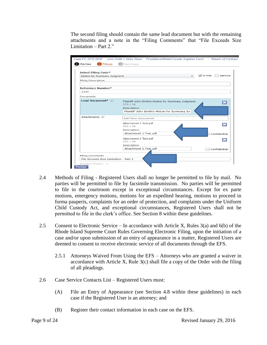The second filing should contain the same lead document but with the remaining attachments and a note in the "Filing Comments" that "File Exceeds Size Limitation – Part 2."

| <b>Select Filing Code*</b>  |                                                                                                                                      |
|-----------------------------|--------------------------------------------------------------------------------------------------------------------------------------|
| Motion for Summary Judgment | $\sqrt{ }$ E-File<br>Service                                                                                                         |
| <b>Filing Description</b>   |                                                                                                                                      |
| Reference Number*           |                                                                                                                                      |
| 1234                        |                                                                                                                                      |
| <b>Documents</b>            |                                                                                                                                      |
| Lead Document* (i)          | Plaintiff John Smith's Motion for Summary Judgment<br>BB<br>292.1 kb<br>Description<br>Plaintiff John Smith's Motion for Summary Juc |
| Attachments (i)             | <b>Add More Documents</b>                                                                                                            |
|                             | Attachment 1. Test.pdf<br>$\overline{\mathbf{x}}$<br>292.1 kb                                                                        |
|                             | Description                                                                                                                          |
|                             | Attachment 1.Test.pdf<br>Confidential                                                                                                |
|                             | Attachment 2. Test.pdf<br>$ \mathbf{x} $<br>292.1 kb                                                                                 |
|                             | Description                                                                                                                          |
|                             | Attachment 2.Test.pdf<br>Confidential                                                                                                |

- 2.4 Methods of Filing Registered Users shall no longer be permitted to file by mail. No parties will be permitted to file by facsimile transmission. No parties will be permitted to file in the courtroom except in exceptional circumstances. Except for ex parte motions, emergency motions, motions for an expedited hearing, motions to proceed in forma pauperis, complaints for an order of protection, and complaints under the Uniform Child Custody Act, and exceptional circumstances, Registered Users shall not be permitted to file in the clerk's office. See Section 8 within these guidelines.
- 2.5 Consent to Electronic Service In accordance with Article X, Rules 3(a) and 6(b) of the Rhode Island Supreme Court Rules Governing Electronic Filing, upon the initiation of a case and/or upon submission of an entry of appearance in a matter, Registered Users are deemed to consent to receive electronic service of all documents through the EFS.
	- 2.5.1 Attorneys Waived From Using the EFS Attorneys who are granted a waiver in accordance with Article X, Rule 3(c) shall file a copy of the Order with the filing of all pleadings.
- 2.6 Case Service Contacts List Registered Users must:
	- (A) File an Entry of Appearance (see Section 4.8 within these guidelines) in each case if the Registered User is an attorney; and
	- (B) Register their contact information in each case on the EFS.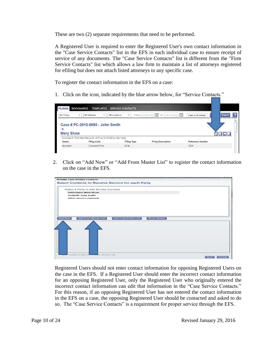These are two (2) separate requirements that need to be performed.

A Registered User is required to enter the Registered User's own contact information in the "Case Service Contacts" list in the EFS in each individual case to ensure receipt of service of any documents. The "Case Service Contacts" list is different from the "Firm Service Contacts" list which allows a law firm to maintain a list of attorneys registered for efiling but does not attach listed attorneys to any specific case.

To register the contact information in the EFS on a case:

1. Click on the icon, indicated by the blue arrow below, for "Service Contacts."



2. Click on "Add New" or "Add From Master List" to register the contact information on the case in the EFS.



Registered Users should not enter contact information for opposing Registered Users on the case in the EFS. If a Registered User should enter the incorrect contact information for an opposing Registered User, only the Registered User who originally entered the incorrect contact information can edit that information in the "Case Service Contacts." For this reason, if an opposing Registered User has not entered the contact information in the EFS on a case, the opposing Registered User should be contacted and asked to do so. The "Case Service Contacts" is a requirement for proper service through the EFS.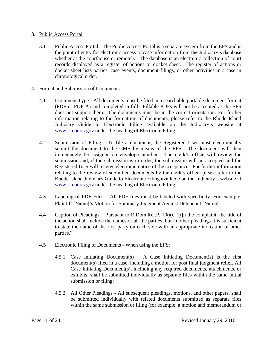#### 3. Public Access Portal

3.1 Public Access Portal - The Public Access Portal is a separate system from the EFS and is the point of entry for electronic access to case information from the Judiciary's database whether at the courthouse or remotely. The database is an electronic collection of court records displayed as a register of actions or docket sheet. The register of actions or docket sheet lists parties, case events, document filings, or other activities in a case in chronological order.

#### 4. Format and Submission of Documents

- 4.1 Document Type All documents must be filed in a searchable portable document format (PDF or PDF-A) and completed in full. Fillable PDFs will not be accepted as the EFS does not support them. The documents must be in the correct orientation. For further information relating to the formatting of documents, please refer to the Rhode Island Judiciary Guide to Electronic Filing available on the Judiciary's website at [www.ri.courts.gov](http://www.ri.courts.gov/) under the heading of Electronic Filing.
- 4.2 Submission of Filing To file a document, the Registered User must electronically submit the document to the CMS by means of the EFS. The document will then immediately be assigned an envelope number. The clerk's office will review the submission and, if the submission is in order, the submission will be accepted and the Registered User will receive electronic notice of the acceptance. For further information relating to the review of submitted documents by the clerk's office, please refer to the Rhode Island Judiciary Guide to Electronic Filing available on the Judiciary's website at [www.ri.courts.gov](http://www.ri.courts.gov/) under the heading of Electronic Filing.
- 4.3 Labeling of PDF Files All PDF files must be labeled with specificity. For example, Plaintiff [Name]'s Motion for Summary Judgment Against Defendant [Name].
- 4.4 Caption of Pleadings Pursuant to R.Dom.Rel.P. 10(a), "[i]n the complaint, the title of the action shall include the names of all the parties, but in other pleadings it is sufficient to state the name of the first party on each side with an appropriate indication of other parties."
- 4.5 Electronic Filing of Documents When using the EFS:
	- 4.5.1 Case Initiating Document(s) A Case Initiating Document(s) is the first document(s) filed in a case, including a motion for post final judgment relief. All Case Initiating Document(s), including any required documents, attachments, or exhibits, shall be submitted individually as separate files within the same initial submission or filing;
	- 4.5.2 All Other Pleadings All subsequent pleadings, motions, and other papers, shall be submitted individually with related documents submitted as separate files within the same submission or filing (for example, a motion and memorandum or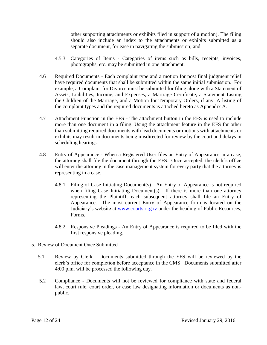other supporting attachments or exhibits filed in support of a motion). The filing should also include an index to the attachments or exhibits submitted as a separate document, for ease in navigating the submission; and

- 4.5.3 Categories of Items Categories of items such as bills, receipts, invoices, photographs, etc. may be submitted in one attachment.
- 4.6 Required Documents Each complaint type and a motion for post final judgment relief have required documents that shall be submitted within the same initial submission. For example, a Complaint for Divorce must be submitted for filing along with a Statement of Assets, Liabilities, Income, and Expenses, a Marriage Certificate, a Statement Listing the Children of the Marriage, and a Motion for Temporary Orders, if any. A listing of the complaint types and the required documents is attached hereto as Appendix A.
- 4.7 Attachment Function in the EFS The attachment button in the EFS is used to include more than one document in a filing. Using the attachment feature in the EFS for other than submitting required documents with lead documents or motions with attachments or exhibits may result in documents being misdirected for review by the court and delays in scheduling hearings.
- 4.8 Entry of Appearance When a Registered User files an Entry of Appearance in a case, the attorney shall file the document through the EFS. Once accepted, the clerk's office will enter the attorney in the case management system for every party that the attorney is representing in a case.
	- 4.8.1 Filing of Case Initiating Document(s) An Entry of Appearance is not required when filing Case Initiating Document(s). If there is more than one attorney representing the Plaintiff, each subsequent attorney shall file an Entry of Appearance. The most current Entry of Appearance form is located on the Judiciary's website at [www.courts.ri.gov](http://www.courts.ri.gov/) under the heading of Public Resources, Forms.
	- 4.8.2 Responsive Pleadings An Entry of Appearance is required to be filed with the first responsive pleading.

## 5. Review of Document Once Submitted

- 5.1 Review by Clerk Documents submitted through the EFS will be reviewed by the clerk's office for completion before acceptance in the CMS. Documents submitted after 4:00 p.m. will be processed the following day.
- 5.2 Compliance Documents will not be reviewed for compliance with state and federal law, court rule, court order, or case law designating information or documents as nonpublic.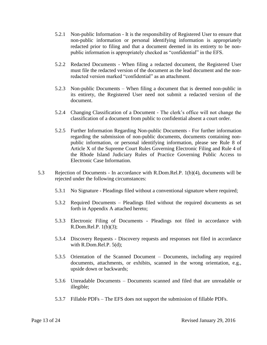- 5.2.1 Non-public Information It is the responsibility of Registered User to ensure that non-public information or personal identifying information is appropriately redacted prior to filing and that a document deemed in its entirety to be nonpublic information is appropriately checked as "confidential" in the EFS.
- 5.2.2 Redacted Documents When filing a redacted document, the Registered User must file the redacted version of the document as the lead document and the nonredacted version marked "confidential" as an attachment.
- 5.2.3 Non-public Documents When filing a document that is deemed non-public in its entirety, the Registered User need not submit a redacted version of the document.
- 5.2.4 Changing Classification of a Document The clerk's office will not change the classification of a document from public to confidential absent a court order.
- 5.2.5 Further Information Regarding Non-public Documents For further information regarding the submission of non-public documents, documents containing nonpublic information, or personal identifying information, please see Rule 8 of Article X of the Supreme Court Rules Governing Electronic Filing and Rule 4 of the Rhode Island Judiciary Rules of Practice Governing Public Access to Electronic Case Information.
- 5.3 Rejection of Documents In accordance with R.Dom.Rel.P. 1(b)(4), documents will be rejected under the following circumstances:
	- 5.3.1 No Signature Pleadings filed without a conventional signature where required;
	- 5.3.2 Required Documents Pleadings filed without the required documents as set forth in Appendix A attached hereto;
	- 5.3.3 Electronic Filing of Documents Pleadings not filed in accordance with R.Dom.Rel.P. 1(b)(3);
	- 5.3.4 Discovery Requests Discovery requests and responses not filed in accordance with R.Dom.Rel.P. 5(d);
	- 5.3.5 Orientation of the Scanned Document Documents, including any required documents, attachments, or exhibits, scanned in the wrong orientation, e.g., upside down or backwards;
	- 5.3.6 Unreadable Documents Documents scanned and filed that are unreadable or illegible;
	- 5.3.7 Fillable PDFs The EFS does not support the submission of fillable PDFs.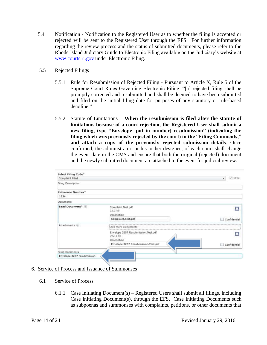- 5.4 Notification Notification to the Registered User as to whether the filing is accepted or rejected will be sent to the Registered User through the EFS. For further information regarding the review process and the status of submitted documents, please refer to the Rhode Island Judiciary Guide to Electronic Filing available on the Judiciary's website at [www.courts.ri.gov](http://www.courts.ri.gov/) under Electronic Filing.
- 5.5 Rejected Filings
	- 5.5.1 Rule for Resubmission of Rejected Filing Pursuant to Article X, Rule 5 of the Supreme Court Rules Governing Electronic Filing, "[a] rejected filing shall be promptly corrected and resubmitted and shall be deemed to have been submitted and filed on the initial filing date for purposes of any statutory or rule-based deadline."
	- 5.5.2 Statute of Limitations **When the resubmission is filed after the statute of limitations because of a court rejection, the Registered User shall submit a new filing, type "Envelope [put in number] resubmission" (indicating the filing which was previously rejected by the court) in the "Filing Comments," and attach a copy of the previously rejected submission details**. Once confirmed, the administrator, or his or her designee, of each court shall change the event date in the CMS and ensure that both the original (rejected) document and the newly submitted document are attached to the event for judicial review.

| Select Filing Code*        |                                                  |                            |
|----------------------------|--------------------------------------------------|----------------------------|
| Complaint Filed            |                                                  | $\sqrt{EFLI}$<br>$\bullet$ |
| Filing Description         |                                                  |                            |
| Reference Number*          |                                                  |                            |
| 1234                       |                                                  |                            |
| Documents                  |                                                  |                            |
| Lead Document <sup>*</sup> | Complaint. Test pdf<br>32.2 kh                   | E                          |
|                            | Description                                      |                            |
|                            | Complaint.Test.pdf                               | Confidential               |
| Attachments (i)            | Add More Documents                               |                            |
|                            | Envelope 3257 Resubmission. Test.pdf<br>292.1 kb | ×                          |
|                            | Description                                      |                            |
|                            | Envelope 3257 Resubmission.Test.pdf              | Confidential               |
| <b>Filing Comments</b>     |                                                  |                            |
| Envelope 3257 resubmission |                                                  |                            |

## 6. Service of Process and Issuance of Summonses

- 6.1 Service of Process
	- 6.1.1 Case Initiating Document(s) Registered Users shall submit all filings, including Case Initiating Document(s), through the EFS. Case Initiating Documents such as subpoenas and summonses with complaints, petitions, or other documents that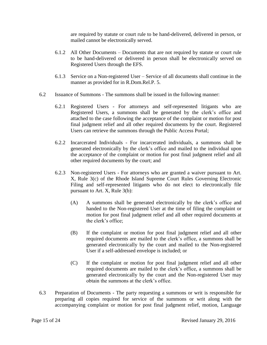are required by statute or court rule to be hand-delivered, delivered in person, or mailed cannot be electronically served.

- 6.1.2 All Other Documents Documents that are not required by statute or court rule to be hand-delivered or delivered in person shall be electronically served on Registered Users through the EFS.
- 6.1.3 Service on a Non-registered User Service of all documents shall continue in the manner as provided for in R.Dom.Rel.P. 5.
- 6.2 Issuance of Summons The summons shall be issued in the following manner:
	- 6.2.1 Registered Users For attorneys and self-represented litigants who are Registered Users, a summons shall be generated by the clerk's office and attached to the case following the acceptance of the complaint or motion for post final judgment relief and all other required documents by the court. Registered Users can retrieve the summons through the Public Access Portal;
	- 6.2.2 Incarcerated Individuals For incarcerated individuals, a summons shall be generated electronically by the clerk's office and mailed to the individual upon the acceptance of the complaint or motion for post final judgment relief and all other required documents by the court; and
	- 6.2.3 Non-registered Users For attorneys who are granted a waiver pursuant to Art. X, Rule 3(c) of the Rhode Island Supreme Court Rules Governing Electronic Filing and self-represented litigants who do not elect to electronically file pursuant to Art. X, Rule 3(b):
		- (A) A summons shall be generated electronically by the clerk's office and handed to the Non-registered User at the time of filing the complaint or motion for post final judgment relief and all other required documents at the clerk's office;
		- (B) If the complaint or motion for post final judgment relief and all other required documents are mailed to the clerk's office, a summons shall be generated electronically by the court and mailed to the Non-registered User if a self-addressed envelope is included; or
		- (C) If the complaint or motion for post final judgment relief and all other required documents are mailed to the clerk's office, a summons shall be generated electronically by the court and the Non-registered User may obtain the summons at the clerk's office.
- 6.3 Preparation of Documents The party requesting a summons or writ is responsible for preparing all copies required for service of the summons or writ along with the accompanying complaint or motion for post final judgment relief, motion, Language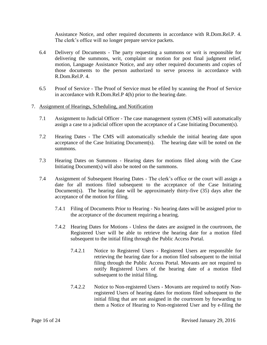Assistance Notice, and other required documents in accordance with R.Dom.Rel.P. 4. The clerk's office will no longer prepare service packets.

- 6.4 Delivery of Documents The party requesting a summons or writ is responsible for delivering the summons, writ, complaint or motion for post final judgment relief, motion, Language Assistance Notice, and any other required documents and copies of those documents to the person authorized to serve process in accordance with R.Dom.Rel.P. 4.
- 6.5 Proof of Service The Proof of Service must be efiled by scanning the Proof of Service in accordance with R.Dom.Rel.P 4(h) prior to the hearing date.

#### 7. Assignment of Hearings, Scheduling, and Notification

- 7.1 Assignment to Judicial Officer The case management system (CMS) will automatically assign a case to a judicial officer upon the acceptance of a Case Initiating Document(s).
- 7.2 Hearing Dates The CMS will automatically schedule the initial hearing date upon acceptance of the Case Initiating Document(s). The hearing date will be noted on the summons.
- 7.3 Hearing Dates on Summons Hearing dates for motions filed along with the Case Initiating Document(s) will also be noted on the summons.
- 7.4 Assignment of Subsequent Hearing Dates The clerk's office or the court will assign a date for all motions filed subsequent to the acceptance of the Case Initiating Document(s). The hearing date will be approximately thirty-five (35) days after the acceptance of the motion for filing.
	- 7.4.1 Filing of Documents Prior to Hearing No hearing dates will be assigned prior to the acceptance of the document requiring a hearing.
	- 7.4.2 Hearing Dates for Motions Unless the dates are assigned in the courtroom, the Registered User will be able to retrieve the hearing date for a motion filed subsequent to the initial filing through the Public Access Portal.
		- 7.4.2.1 Notice to Registered Users Registered Users are responsible for retrieving the hearing date for a motion filed subsequent to the initial filing through the Public Access Portal. Movants are not required to notify Registered Users of the hearing date of a motion filed subsequent to the initial filing.
		- 7.4.2.2 Notice to Non-registered Users Movants are required to notify Nonregistered Users of hearing dates for motions filed subsequent to the initial filing that are not assigned in the courtroom by forwarding to them a Notice of Hearing to Non-registered User and by e-filing the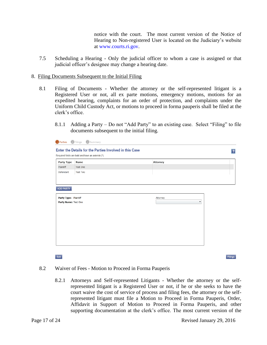notice with the court. The most current version of the Notice of Hearing to Non-registered User is located on the Judiciary's website at [www.courts.ri.gov.](http://www.courts.ri.gov/)

- 7.5 Scheduling a Hearing Only the judicial officer to whom a case is assigned or that judicial officer's designee may change a hearing date.
- 8. Filing Documents Subsequent to the Initial Filing
	- 8.1 Filing of Documents Whether the attorney or the self-represented litigant is a Registered User or not, all ex parte motions, emergency motions, motions for an expedited hearing, complaints for an order of protection, and complaints under the Uniform Child Custody Act, or motions to proceed in forma pauperis shall be filed at the clerk's office.
		- 8.1.1 Adding a Party Do not "Add Party" to an existing case. Select "Filing" to file documents subsequent to the initial filing.

| <b>Party Type</b>     | <b>Name</b>     | <b>Attorney</b>      |  |
|-----------------------|-----------------|----------------------|--|
| Plaintiff             | Test One        |                      |  |
| Defendant             | <b>Test Two</b> |                      |  |
|                       |                 |                      |  |
|                       |                 |                      |  |
| ADD PARTY             |                 |                      |  |
|                       |                 |                      |  |
| Party Type: Plaintiff |                 | Attorney             |  |
| Party Name: Test One  |                 | $\blacktriangledown$ |  |
|                       |                 |                      |  |
|                       |                 |                      |  |
|                       |                 |                      |  |
|                       |                 |                      |  |
|                       |                 |                      |  |
|                       |                 |                      |  |
|                       |                 |                      |  |
|                       |                 |                      |  |
|                       |                 |                      |  |

8.2 Waiver of Fees - Motion to Proceed in Forma Pauperis

8.2.1 Attorneys and Self-represented Litigants - Whether the attorney or the selfrepresented litigant is a Registered User or not, if he or she seeks to have the court waive the cost of service of process and filing fees, the attorney or the selfrepresented litigant must file a Motion to Proceed in Forma Pauperis, Order, Affidavit in Support of Motion to Proceed in Forma Pauperis, and other supporting documentation at the clerk's office. The most current version of the

Exit

Filings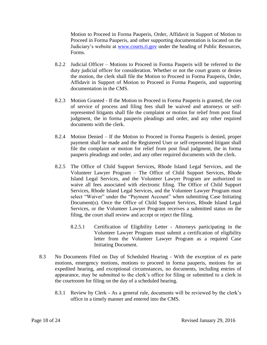Motion to Proceed in Forma Pauperis, Order, Affidavit in Support of Motion to Proceed in Forma Pauperis, and other supporting documentation is located on the Judiciary's website at [www.courts.ri.gov](http://www.courts.ri.gov/) under the heading of Public Resources, Forms.

- 8.2.2 Judicial Officer Motions to Proceed in Forma Pauperis will be referred to the duty judicial officer for consideration. Whether or not the court grants or denies the motion, the clerk shall file the Motion to Proceed in Forma Pauperis, Order, Affidavit in Support of Motion to Proceed in Forma Pauperis, and supporting documentation in the CMS.
- 8.2.3 Motion Granted If the Motion to Proceed in Forma Pauperis is granted, the cost of service of process and filing fees shall be waived and attorneys or selfrepresented litigants shall file the complaint or motion for relief from post final judgment, the in forma pauperis pleadings and order, and any other required documents with the clerk.
- 8.2.4 Motion Denied If the Motion to Proceed in Forma Pauperis is denied, proper payment shall be made and the Registered User or self-represented litigant shall file the complaint or motion for relief from post final judgment, the in forma pauperis pleadings and order, and any other required documents with the clerk.
- 8.2.5 The Office of Child Support Services, Rhode Island Legal Services, and the Volunteer Lawyer Program – The Office of Child Support Services, Rhode Island Legal Services, and the Volunteer Lawyer Program are authorized to waive all fees associated with electronic filing. The Office of Child Support Services, Rhode Island Legal Services, and the Volunteer Lawyer Program must select "Waiver" under the "Payment Account" when submitting Case Initiating Document(s). Once the Office of Child Support Services, Rhode Island Legal Services, or the Volunteer Lawyer Program receives a submitted status on the filing, the court shall review and accept or reject the filing.
	- 8.2.5.1 Certification of Eligibility Letter Attorneys participating in the Volunteer Lawyer Program must submit a certification of eligibility letter from the Volunteer Lawyer Program as a required Case Initiating Document.
- 8.3 No Documents Filed on Day of Scheduled Hearing With the exception of ex parte motions, emergency motions, motions to proceed in forma pauperis, motions for an expedited hearing, and exceptional circumstances, no documents, including entries of appearance, may be submitted to the clerk's office for filing or submitted to a clerk in the courtroom for filing on the day of a scheduled hearing.
	- 8.3.1 Review by Clerk As a general rule, documents will be reviewed by the clerk's office in a timely manner and entered into the CMS.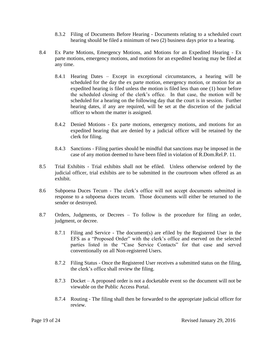- 8.3.2 Filing of Documents Before Hearing Documents relating to a scheduled court hearing should be filed a minimum of two (2) business days prior to a hearing.
- 8.4 Ex Parte Motions, Emergency Motions, and Motions for an Expedited Hearing Ex parte motions, emergency motions, and motions for an expedited hearing may be filed at any time.
	- 8.4.1 Hearing Dates Except in exceptional circumstances, a hearing will be scheduled for the day the ex parte motion, emergency motion, or motion for an expedited hearing is filed unless the motion is filed less than one (1) hour before the scheduled closing of the clerk's office. In that case, the motion will be scheduled for a hearing on the following day that the court is in session. Further hearing dates, if any are required, will be set at the discretion of the judicial officer to whom the matter is assigned.
	- 8.4.2 Denied Motions Ex parte motions, emergency motions, and motions for an expedited hearing that are denied by a judicial officer will be retained by the clerk for filing.
	- 8.4.3 Sanctions Filing parties should be mindful that sanctions may be imposed in the case of any motion deemed to have been filed in violation of R.Dom.Rel.P. 11.
- 8.5 Trial Exhibits Trial exhibits shall not be efiled. Unless otherwise ordered by the judicial officer, trial exhibits are to be submitted in the courtroom when offered as an exhibit.
- 8.6 Subpoena Duces Tecum The clerk's office will not accept documents submitted in response to a subpoena duces tecum. Those documents will either be returned to the sender or destroyed.
- 8.7 Orders, Judgments, or Decrees To follow is the procedure for filing an order, judgment, or decree.
	- 8.7.1 Filing and Service The document(s) are efiled by the Registered User in the EFS as a "Proposed Order" with the clerk's office and eserved on the selected parties listed in the "Case Service Contacts" for that case and served conventionally on all Non-registered Users.
	- 8.7.2 Filing Status Once the Registered User receives a submitted status on the filing, the clerk's office shall review the filing.
	- 8.7.3 Docket A proposed order is not a docketable event so the document will not be viewable on the Public Access Portal.
	- 8.7.4 Routing The filing shall then be forwarded to the appropriate judicial officer for review.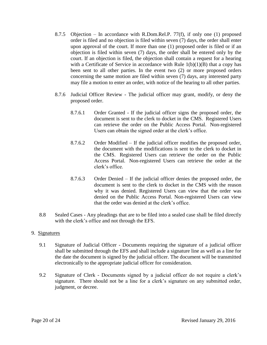- 8.7.5 Objection In accordance with R.Dom.Rel.P. 77(f), if only one (1) proposed order is filed and no objection is filed within seven (7) days, the order shall enter upon approval of the court. If more than one (1) proposed order is filed or if an objection is filed within seven (7) days, the order shall be entered only by the court. If an objection is filed, the objection shall contain a request for a hearing with a Certificate of Service in accordance with Rule  $1(b)(1)(B)$  that a copy has been sent to all other parties. In the event two (2) or more proposed orders concerning the same motion are filed within seven (7) days, any interested party may file a motion to enter an order, with notice of the hearing to all other parties.
- 8.7.6 Judicial Officer Review The judicial officer may grant, modify, or deny the proposed order.
	- 8.7.6.1 Order Granted If the judicial officer signs the proposed order, the document is sent to the clerk to docket in the CMS. Registered Users can retrieve the order on the Public Access Portal. Non-registered Users can obtain the signed order at the clerk's office.
	- 8.7.6.2 Order Modified If the judicial officer modifies the proposed order, the document with the modifications is sent to the clerk to docket in the CMS. Registered Users can retrieve the order on the Public Access Portal. Non-registered Users can retrieve the order at the clerk's office.
	- 8.7.6.3 Order Denied If the judicial officer denies the proposed order, the document is sent to the clerk to docket in the CMS with the reason why it was denied. Registered Users can view that the order was denied on the Public Access Portal. Non-registered Users can view that the order was denied at the clerk's office.
- 8.8 Sealed Cases Any pleadings that are to be filed into a sealed case shall be filed directly with the clerk's office and not through the EFS.

## 9. Signatures

- 9.1 Signature of Judicial Officer Documents requiring the signature of a judicial officer shall be submitted through the EFS and shall include a signature line as well as a line for the date the document is signed by the judicial officer. The document will be transmitted electronically to the appropriate judicial officer for consideration.
- 9.2 Signature of Clerk Documents signed by a judicial officer do not require a clerk's signature. There should not be a line for a clerk's signature on any submitted order, judgment, or decree.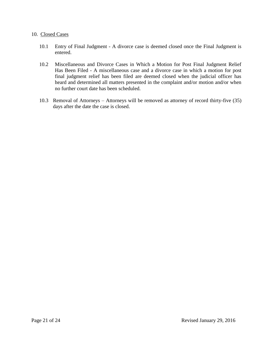#### 10. Closed Cases

- 10.1 Entry of Final Judgment A divorce case is deemed closed once the Final Judgment is entered.
- 10.2 Miscellaneous and Divorce Cases in Which a Motion for Post Final Judgment Relief Has Been Filed - A miscellaneous case and a divorce case in which a motion for post final judgment relief has been filed are deemed closed when the judicial officer has heard and determined all matters presented in the complaint and/or motion and/or when no further court date has been scheduled.
- 10.3 Removal of Attorneys Attorneys will be removed as attorney of record thirty-five (35) days after the date the case is closed.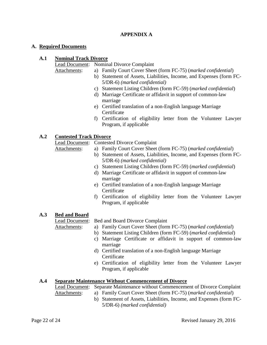## **APPENDIX A**

#### **A. Required Documents**

## **A.1 Nominal Track Divorce**

Lead Document: Nominal Divorce Complaint

Attachments: a) Family Court Cover Sheet (form FC-75) (*marked confidential*)

- b) Statement of Assets, Liabilities, Income, and Expenses (form FC-5/DR-6) *(marked confidential)*
- c) Statement Listing Children (form FC-59) (*marked confidential*)
- d) Marriage Certificate or affidavit in support of common-law marriage
- e) Certified translation of a non-English language Marriage Certificate
- f) Certification of eligibility letter from the Volunteer Lawyer Program, if applicable

## **A.2 Contested Track Divorce**

Lead Document: Contested Divorce Complaint

- Attachments: a) Family Court Cover Sheet (form FC-75) (*marked confidential*)
	- b) Statement of Assets, Liabilities, Income, and Expenses (form FC-5/DR-6) *(marked confidential)*
	- c) Statement Listing Children (form FC-59) (*marked confidential*)
	- d) Marriage Certificate or affidavit in support of common-law marriage
	- e) Certified translation of a non-English language Marriage **Certificate**
	- f) Certification of eligibility letter from the Volunteer Lawyer Program, if applicable

## **A.3 Bed and Board**

Lead Document: Bed and Board Divorce Complaint

- Attachments: a) Family Court Cover Sheet (form FC-75) (*marked confidential*)
	- b) Statement Listing Children (form FC-59) (*marked confidential*)
	- c) Marriage Certificate or affidavit in support of common-law marriage
	- d) Certified translation of a non-English language Marriage **Certificate**
	- e) Certification of eligibility letter from the Volunteer Lawyer Program, if applicable

## **A.4 Separate Maintenance Without Commencement of Divorce**

Lead Document: Separate Maintenance without Commencement of Divorce Complaint

- Attachments: a) Family Court Cover Sheet (form FC-75) (*marked confidential*)
	- b) Statement of Assets, Liabilities, Income, and Expenses (form FC-5/DR-6) *(marked confidential)*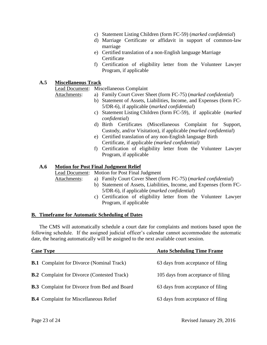- c) Statement Listing Children (form FC-59) (*marked confidential*)
- d) Marriage Certificate or affidavit in support of common-law marriage
- e) Certified translation of a non-English language Marriage **Certificate**
- f) Certification of eligibility letter from the Volunteer Lawyer Program, if applicable

#### **A.5 Miscellaneous Track**

Lead Document: Miscellaneous Complaint

- Attachments: a) Family Court Cover Sheet (form FC-75) (*marked confidential*)
	- b) Statement of Assets, Liabilities, Income, and Expenses (form FC-5/DR-6), if applicable (*marked confidential*)
	- c) Statement Listing Children (form FC-59), if applicable (*marked confidential*)
	- d) Birth Certificates (Miscellaneous Complaint for Support, Custody, and/or Visitation), if applicable *(marked confidential*)
	- e) Certified translation of any non-English language Birth Certificate, if applicable *(marked confidential)*
	- f) Certification of eligibility letter from the Volunteer Lawyer Program, if applicable

#### **A.6 Motion for Post Final Judgment Relief**

Lead Document: Motion for Post Final Judgment

- Attachments: a) Family Court Cover Sheet (form FC-75) (*marked confidential*)
	- b) Statement of Assets, Liabilities, Income, and Expenses (form FC-5/DR-6), if applicable (*marked confidential*)
	- c) Certification of eligibility letter from the Volunteer Lawyer Program, if applicable

#### **B. Timeframe for Automatic Scheduling of Dates**

The CMS will automatically schedule a court date for complaints and motions based upon the following schedule. If the assigned judicial officer's calendar cannot accommodate the automatic date, the hearing automatically will be assigned to the next available court session.

| <b>Case Type</b>                                    | <b>Auto Scheduling Time Frame</b>  |  |  |
|-----------------------------------------------------|------------------------------------|--|--|
| <b>B.1</b> Complaint for Divorce (Nominal Track)    | 63 days from acceptance of filing  |  |  |
| <b>B.2</b> Complaint for Divorce (Contested Track)  | 105 days from acceptance of filing |  |  |
| <b>B.3</b> Complaint for Divorce from Bed and Board | 63 days from acceptance of filing  |  |  |
| <b>B.4</b> Complaint for Miscellaneous Relief       | 63 days from acceptance of filing  |  |  |